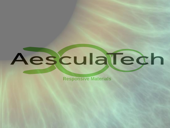# AesculaTech

**Responsive Materials**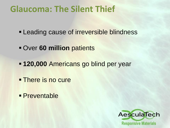# **Glaucoma: The Silent Thief**

- **Leading cause of irreversible blindness**
- **Over 60 million patients**
- **120,000 Americans go blind per year**
- **There is no cure**
- **Preventable**

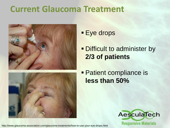# **Current Glaucoma Treatment**





**Eye drops** 

#### **- Difficult to administer by 2/3 of patients**

#### **Patient compliance is less than 50%**



http://www.glaucoma-association.com/glaucoma-treatments/how-to-use-your-eye-drops.html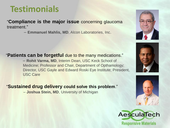# **Testimonials**

"**Compliance is the major issue** concerning glaucoma treatment."

– **Emmanuel Mahlis, MD**, Alcon Laboratories, Inc.



– **Rohit Varma, MD**, Interim Dean, USC Keck School of Medicine; Professor and Chair, Department of Opthamology; Director, USC Gayle and Edward Roski Eye Institute; President, USC Care

"**Sustained drug delivery could solve this problem**."

– **Joshua Stein, MD**, University of Michigan







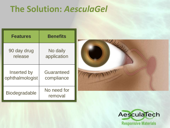# **The Solution:** *AesculaGel*

| <b>Features</b>      | <b>Benefits</b>        |  |  |
|----------------------|------------------------|--|--|
| 90 day drug          | No daily               |  |  |
| release              | application            |  |  |
| Inserted by          | Guaranteed             |  |  |
| ophthalmologist      | compliance             |  |  |
| <b>Biodegradable</b> | No need for<br>removal |  |  |



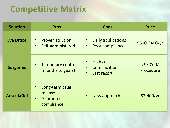# **Competitive Matrix**

| <b>Solution</b>   | <b>Cons</b><br><b>Pros</b>                                                |                                                                                   | <b>Price</b>              |  |
|-------------------|---------------------------------------------------------------------------|-----------------------------------------------------------------------------------|---------------------------|--|
| <b>Eye Drops</b>  | <b>Proven solution</b><br>Self-administered                               | Daily applications<br>$\bullet$<br>Poor compliance<br>$\bullet$                   | \$600-2400/yr             |  |
| <b>Surgeries</b>  | <b>Temporary control</b><br>(months to years)                             | <b>High cost</b><br><b>Complications</b><br>$\bullet$<br>Last resort<br>$\bullet$ | $>$ \$5,000/<br>Procedure |  |
| <b>AesculaGel</b> | Long-term drug<br>release<br><b>Guarantees</b><br>$\bullet$<br>compliance | New approach<br>$\bullet$                                                         | \$2,400/yr                |  |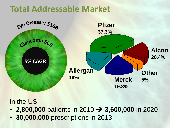# **Total Addressable Market**



#### In the US:

- **2,800,000** patients in 2010 **3,600,000** in 2020
-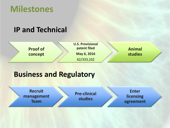#### **Milestones**

#### **IP and Technical**



#### **Business and Regulatory**

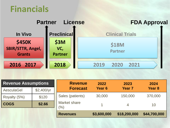#### **Financials**



| <b>Revenue Assumptions</b> |            | <b>Revenue</b>      | 2022        | 2023           | 2024          |
|----------------------------|------------|---------------------|-------------|----------------|---------------|
| AesculaGel                 | \$2,400/yr | <b>Forecast</b>     | Year 6      | <b>Year 7</b>  | <b>Year 8</b> |
| Royalty (5%)               | \$120      | Sales (patients)    | 30,000      | 150,000        | 370,000       |
| <b>COGS</b>                | \$2.66     | Market share<br>(%) |             | $\overline{4}$ | 10            |
|                            |            | <b>Revenues</b>     | \$3,600,000 | \$18,200,000   | \$44,700,000  |